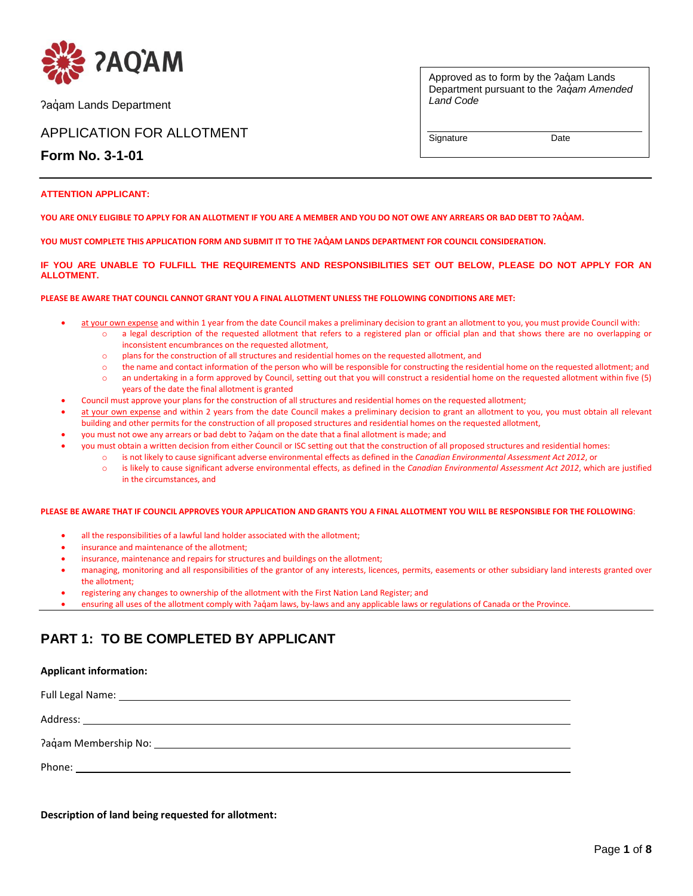

Pagam Lands Department

## APPLICATION FOR ALLOTMENT

**Form No. 3-1-01**

Approved as to form by the ?aqam Lands Department pursuant to the *ʔaq̓am Amended Land Code* 

Signature Date

#### **ATTENTION APPLICANT:**

**YOU ARE ONLY ELIGIBLE TO APPLY FOR AN ALLOTMENT IF YOU ARE A MEMBER AND YOU DO NOT OWE ANY ARREARS OR BAD DEBT TO ʔAQ̓AM.** 

**YOU MUST COMPLETE THIS APPLICATION FORM AND SUBMIT IT TO THE ʔAQ̓AM LANDS DEPARTMENT FOR COUNCIL CONSIDERATION.** 

#### **IF YOU ARE UNABLE TO FULFILL THE REQUIREMENTS AND RESPONSIBILITIES SET OUT BELOW, PLEASE DO NOT APPLY FOR AN ALLOTMENT.**

#### **PLEASE BE AWARE THAT COUNCIL CANNOT GRANT YOU A FINAL ALLOTMENT UNLESS THE FOLLOWING CONDITIONS ARE MET:**

- at your own expense and within 1 year from the date Council makes a preliminary decision to grant an allotment to you, you must provide Council with:
	- o a legal description of the requested allotment that refers to a registered plan or official plan and that shows there are no overlapping or inconsistent encumbrances on the requested allotment.
		- o plans for the construction of all structures and residential homes on the requested allotment, and
	- o the name and contact information of the person who will be responsible for constructing the residential home on the requested allotment; and o an undertaking in a form approved by Council, setting out that you will construct a residential home on the requested allotment within five (5) years of the date the final allotment is granted
- Council must approve your plans for the construction of all structures and residential homes on the requested allotment;
- at your own expense and within 2 years from the date Council makes a preliminary decision to grant an allotment to you, you must obtain all relevant building and other permits for the construction of all proposed structures and residential homes on the requested allotment,
- you must not owe any arrears or bad debt to ʔaq̓am on the date that a final allotment is made; and
- you must obtain a written decision from either Council or ISC setting out that the construction of all proposed structures and residential homes:
	- o is not likely to cause significant adverse environmental effects as defined in the *Canadian Environmental Assessment Act 2012*, or
		- o is likely to cause significant adverse environmental effects, as defined in the *Canadian Environmental Assessment Act 2012*, which are justified in the circumstances, and

#### **PLEASE BE AWARE THAT IF COUNCIL APPROVES YOUR APPLICATION AND GRANTS YOU A FINAL ALLOTMENT YOU WILL BE RESPONSIBLE FOR THE FOLLOWING**:

- all the responsibilities of a lawful land holder associated with the allotment;
- insurance and maintenance of the allotment;
- insurance, maintenance and repairs for structures and buildings on the allotment;
- managing, monitoring and all responsibilities of the grantor of any interests, licences, permits, easements or other subsidiary land interests granted over the allotment;
- registering any changes to ownership of the allotment with the First Nation Land Register; and
- ensuring all uses of the allotment comply with ?aq̓am laws, by-laws and any applicable laws or regulations of Canada or the Province.

# **PART 1: TO BE COMPLETED BY APPLICANT**

#### **Applicant information:**

**Description of land being requested for allotment:**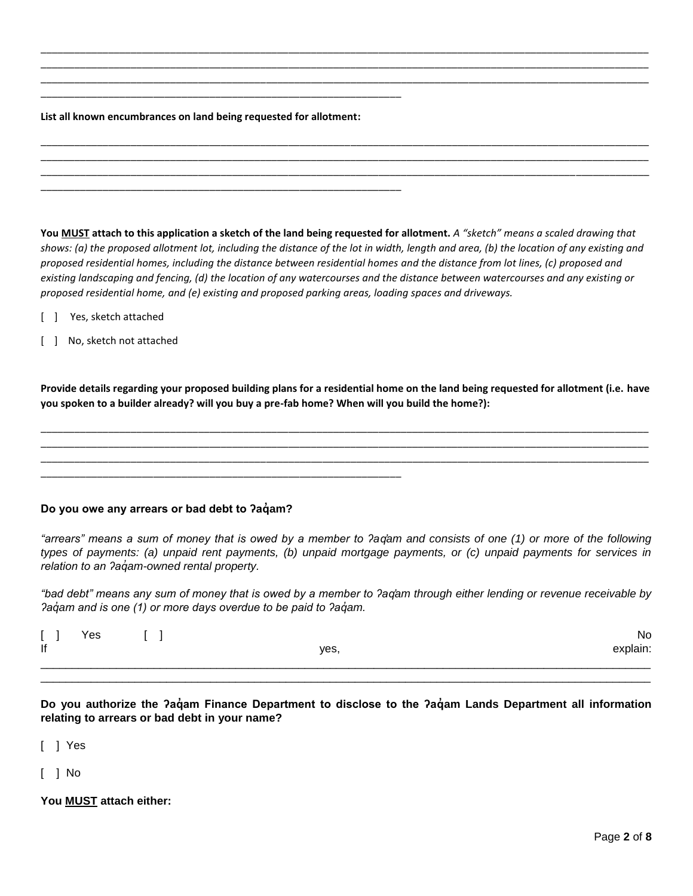#### **List all known encumbrances on land being requested for allotment:**

\_\_\_\_\_\_\_\_\_\_\_\_\_\_\_\_\_\_\_\_\_\_\_\_\_\_\_\_\_\_\_\_\_\_\_\_\_\_\_\_\_\_\_\_\_\_\_\_\_\_\_\_\_\_\_\_\_\_\_\_\_\_\_\_

\_\_\_\_\_\_\_\_\_\_\_\_\_\_\_\_\_\_\_\_\_\_\_\_\_\_\_\_\_\_\_\_\_\_\_\_\_\_\_\_\_\_\_\_\_\_\_\_\_\_\_\_\_\_\_\_\_\_\_\_\_\_\_\_

**You MUST attach to this application a sketch of the land being requested for allotment.** *A "sketch" means a scaled drawing that shows: (a) the proposed allotment lot, including the distance of the lot in width, length and area, (b) the location of any existing and proposed residential homes, including the distance between residential homes and the distance from lot lines, (c) proposed and existing landscaping and fencing, (d) the location of any watercourses and the distance between watercourses and any existing or proposed residential home, and (e) existing and proposed parking areas, loading spaces and driveways.*

\_\_\_\_\_\_\_\_\_\_\_\_\_\_\_\_\_\_\_\_\_\_\_\_\_\_\_\_\_\_\_\_\_\_\_\_\_\_\_\_\_\_\_\_\_\_\_\_\_\_\_\_\_\_\_\_\_\_\_\_\_\_\_\_\_\_\_\_\_\_\_\_\_\_\_\_\_\_\_\_\_\_\_\_\_\_\_\_\_\_\_\_\_\_\_\_\_\_\_\_\_\_\_\_\_\_\_\_ \_\_\_\_\_\_\_\_\_\_\_\_\_\_\_\_\_\_\_\_\_\_\_\_\_\_\_\_\_\_\_\_\_\_\_\_\_\_\_\_\_\_\_\_\_\_\_\_\_\_\_\_\_\_\_\_\_\_\_\_\_\_\_\_\_\_\_\_\_\_\_\_\_\_\_\_\_\_\_\_\_\_\_\_\_\_\_\_\_\_\_\_\_\_\_\_\_\_\_\_\_\_\_\_\_\_\_\_ \_\_\_\_\_\_\_\_\_\_\_\_\_\_\_\_\_\_\_\_\_\_\_\_\_\_\_\_\_\_\_\_\_\_\_\_\_\_\_\_\_\_\_\_\_\_\_\_\_\_\_\_\_\_\_\_\_\_\_\_\_\_\_\_\_\_\_\_\_\_\_\_\_\_\_\_\_\_\_\_\_\_\_\_\_\_\_\_\_\_\_\_\_\_\_\_\_\_\_\_\_\_\_\_\_\_\_\_

\_\_\_\_\_\_\_\_\_\_\_\_\_\_\_\_\_\_\_\_\_\_\_\_\_\_\_\_\_\_\_\_\_\_\_\_\_\_\_\_\_\_\_\_\_\_\_\_\_\_\_\_\_\_\_\_\_\_\_\_\_\_\_\_\_\_\_\_\_\_\_\_\_\_\_\_\_\_\_\_\_\_\_\_\_\_\_\_\_\_\_\_\_\_\_\_\_\_\_\_\_\_\_\_\_\_\_\_ \_\_\_\_\_\_\_\_\_\_\_\_\_\_\_\_\_\_\_\_\_\_\_\_\_\_\_\_\_\_\_\_\_\_\_\_\_\_\_\_\_\_\_\_\_\_\_\_\_\_\_\_\_\_\_\_\_\_\_\_\_\_\_\_\_\_\_\_\_\_\_\_\_\_\_\_\_\_\_\_\_\_\_\_\_\_\_\_\_\_\_\_\_\_\_\_\_\_\_\_\_\_\_\_\_\_\_\_ \_\_\_\_\_\_\_\_\_\_\_\_\_\_\_\_\_\_\_\_\_\_\_\_\_\_\_\_\_\_\_\_\_\_\_\_\_\_\_\_\_\_\_\_\_\_\_\_\_\_\_\_\_\_\_\_\_\_\_\_\_\_\_\_\_\_\_\_\_\_\_\_\_\_\_\_\_\_\_\_\_\_\_\_\_\_\_\_\_\_\_\_\_\_\_\_\_\_\_\_\_\_\_\_\_\_\_\_

- [ ] Yes, sketch attached
- [ ] No, sketch not attached

**Provide details regarding your proposed building plans for a residential home on the land being requested for allotment (i.e. have you spoken to a builder already? will you buy a pre-fab home? When will you build the home?):**

\_\_\_\_\_\_\_\_\_\_\_\_\_\_\_\_\_\_\_\_\_\_\_\_\_\_\_\_\_\_\_\_\_\_\_\_\_\_\_\_\_\_\_\_\_\_\_\_\_\_\_\_\_\_\_\_\_\_\_\_\_\_\_\_\_\_\_\_\_\_\_\_\_\_\_\_\_\_\_\_\_\_\_\_\_\_\_\_\_\_\_\_\_\_\_\_\_\_\_\_\_\_\_\_\_\_\_\_ \_\_\_\_\_\_\_\_\_\_\_\_\_\_\_\_\_\_\_\_\_\_\_\_\_\_\_\_\_\_\_\_\_\_\_\_\_\_\_\_\_\_\_\_\_\_\_\_\_\_\_\_\_\_\_\_\_\_\_\_\_\_\_\_\_\_\_\_\_\_\_\_\_\_\_\_\_\_\_\_\_\_\_\_\_\_\_\_\_\_\_\_\_\_\_\_\_\_\_\_\_\_\_\_\_\_\_\_ \_\_\_\_\_\_\_\_\_\_\_\_\_\_\_\_\_\_\_\_\_\_\_\_\_\_\_\_\_\_\_\_\_\_\_\_\_\_\_\_\_\_\_\_\_\_\_\_\_\_\_\_\_\_\_\_\_\_\_\_\_\_\_\_\_\_\_\_\_\_\_\_\_\_\_\_\_\_\_\_\_\_\_\_\_\_\_\_\_\_\_\_\_\_\_\_\_\_\_\_\_\_\_\_\_\_\_\_

# **Do you owe any arrears or bad debt to ʔaq̓ am?**

\_\_\_\_\_\_\_\_\_\_\_\_\_\_\_\_\_\_\_\_\_\_\_\_\_\_\_\_\_\_\_\_\_\_\_\_\_\_\_\_\_\_\_\_\_\_\_\_\_\_\_\_\_\_\_\_\_\_\_\_\_\_\_\_

*"arrears" means a sum of money that is owed by a member to ʔaq̓am and consists of one (1) or more of the following types of payments: (a) unpaid rent payments, (b) unpaid mortgage payments, or (c) unpaid payments for services in relation to an ʔaq̓am-owned rental property.* 

*"bad debt" means any sum of money that is owed by a member to ʔaq̓am through either lending or revenue receivable by ʔaq̓am and is one (1) or more days overdue to be paid to ʔaq̓am.*

| $\sim$ | Yes |      | No       |
|--------|-----|------|----------|
| lf     |     | yes, | explain: |
|        |     |      |          |
|        |     |      |          |

**Do you authorize the ʔaq̓ am Finance Department to disclose to the ʔaq̓ am Lands Department all information relating to arrears or bad debt in your name?**

[ ] Yes

[ ] No

**You MUST attach either:**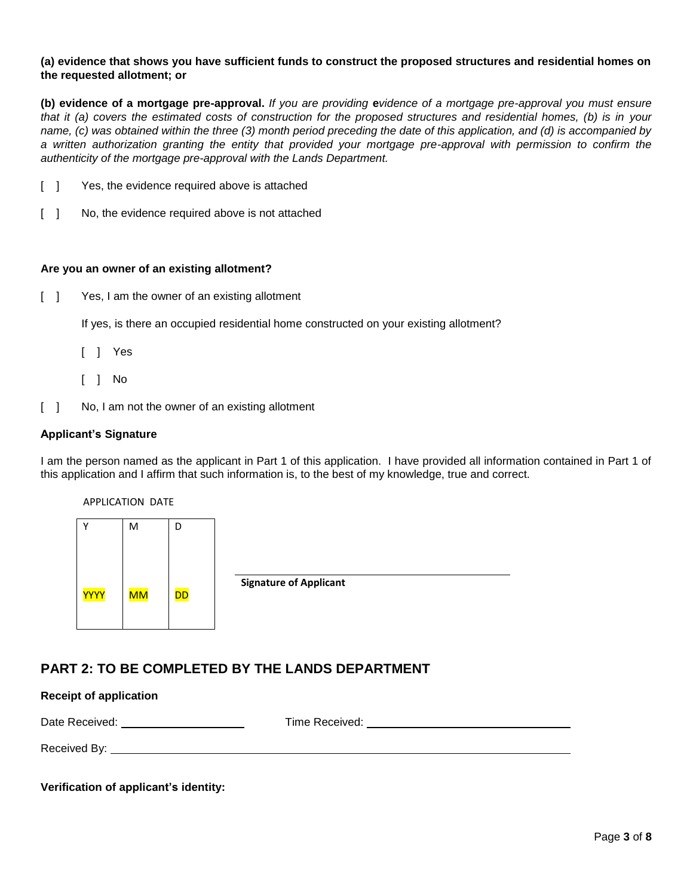### **(a) evidence that shows you have sufficient funds to construct the proposed structures and residential homes on the requested allotment; or**

**(b) evidence of a mortgage pre-approval.** *If you are providing* **e***vidence of a mortgage pre-approval you must ensure that it (a) covers the estimated costs of construction for the proposed structures and residential homes, (b) is in your name, (c) was obtained within the three (3) month period preceding the date of this application, and (d) is accompanied by a written authorization granting the entity that provided your mortgage pre-approval with permission to confirm the authenticity of the mortgage pre-approval with the Lands Department.*

- [ ] Yes, the evidence required above is attached
- [ ] No, the evidence required above is not attached

### **Are you an owner of an existing allotment?**

[ ] Yes, I am the owner of an existing allotment

If yes, is there an occupied residential home constructed on your existing allotment?

- [ ] Yes
- [ ] No
- [ ] No, I am not the owner of an existing allotment

### **Applicant's Signature**

I am the person named as the applicant in Part 1 of this application. I have provided all information contained in Part 1 of this application and I affirm that such information is, to the best of my knowledge, true and correct.

APPLICATION DATE

|             | M         | D         |
|-------------|-----------|-----------|
| <b>YYYY</b> | <b>MM</b> | <b>DD</b> |

**Signature of Applicant**

# **PART 2: TO BE COMPLETED BY THE LANDS DEPARTMENT**

### **Receipt of application**

Date Received: Time Received: Received By:

**Verification of applicant's identity:**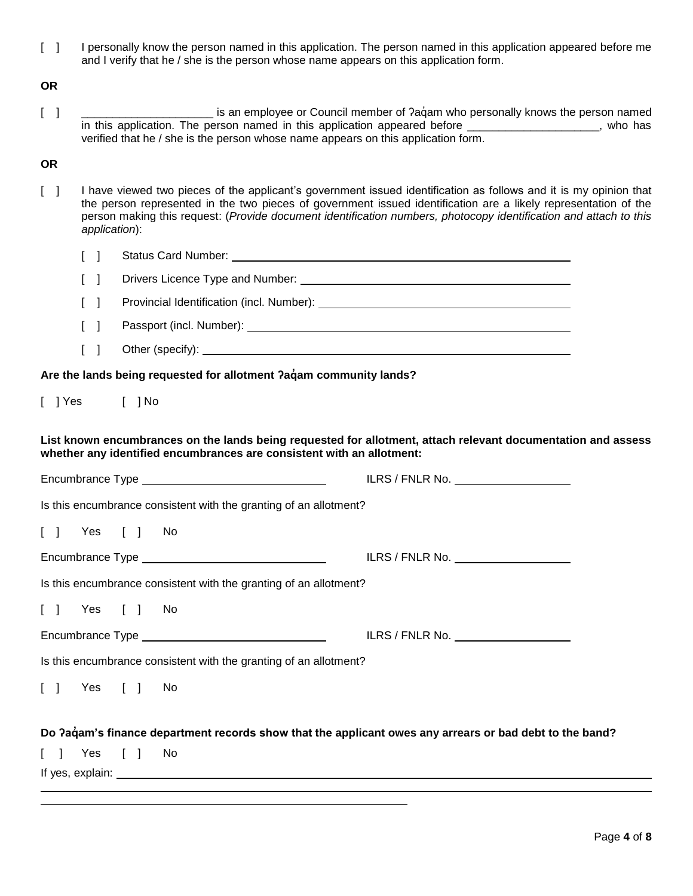[ ] I personally know the person named in this application. The person named in this application appeared before me and I verify that he / she is the person whose name appears on this application form.

**OR**

[ ] \_\_\_\_\_\_\_\_\_\_\_\_\_\_\_\_\_\_\_\_\_\_\_\_\_\_ is an employee or Council member of ?aquam who personally knows the person named in this application. The person named in this application appeared before \_\_\_\_\_\_\_\_\_\_\_\_\_\_\_\_\_\_\_\_\_, who has verified that he / she is the person whose name appears on this application form.

### **OR**

[ ] I have viewed two pieces of the applicant's government issued identification as follows and it is my opinion that the person represented in the two pieces of government issued identification are a likely representation of the person making this request: (*Provide document identification numbers, photocopy identification and attach to this application*):

|        | $\Box$ | Status Card Number:                           |
|--------|--------|-----------------------------------------------|
| $\Box$ |        | Drivers Licence Type and Number:              |
|        |        | Danislavlat településekben, Garat Missolandis |

- [ ] Provincial Identification (incl. Number): \_\_\_\_\_\_\_\_\_\_\_\_\_\_\_\_\_\_\_\_\_\_\_\_\_\_\_\_\_\_\_\_\_\_
- [ ] Passport (incl. Number):
- [ ] Other (specify):

Are the lands being requested for allotment  $2a$  dam community lands?

|  | $[$ ] Yes |  | $[$ ] No |
|--|-----------|--|----------|
|--|-----------|--|----------|

**List known encumbrances on the lands being requested for allotment, attach relevant documentation and assess whether any identified encumbrances are consistent with an allotment:**

|                                                                                                         | ILRS / FNLR No. $\_\_\_\_\_\_\_\_\_\_\_\_\_\_\_\_\_\_\_\_\_\_\_$ |
|---------------------------------------------------------------------------------------------------------|------------------------------------------------------------------|
| Is this encumbrance consistent with the granting of an allotment?                                       |                                                                  |
| [ ] Yes [ ] No                                                                                          |                                                                  |
|                                                                                                         | ILRS / FNLR No.                                                  |
| Is this encumbrance consistent with the granting of an allotment?                                       |                                                                  |
| [ ] Yes [ ] No                                                                                          |                                                                  |
|                                                                                                         | ILRS / FNLR No. ____________________                             |
| Is this encumbrance consistent with the granting of an allotment?                                       |                                                                  |
| [ ] Yes [ ] No                                                                                          |                                                                  |
| Do ?aqam's finance department records show that the applicant owes any arrears or bad debt to the band? |                                                                  |
| $\begin{bmatrix} 1 & \text{Yes} \\ 1 & \text{Yes} \end{bmatrix}$ No                                     |                                                                  |
|                                                                                                         |                                                                  |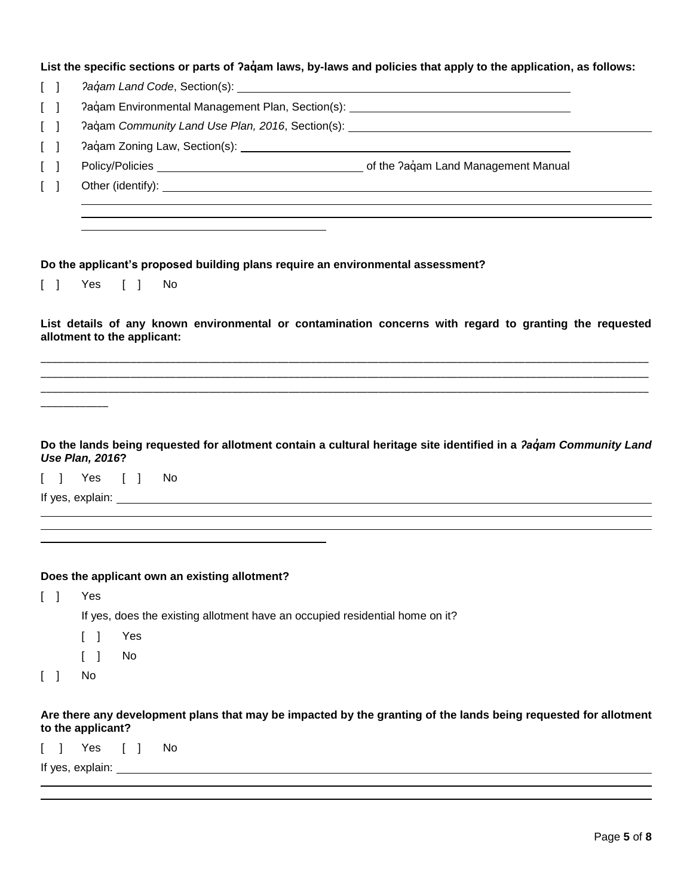|        | List the specific sections or parts of ?aqam laws, by-laws and policies that apply to the application, as follows: |
|--------|--------------------------------------------------------------------------------------------------------------------|
| $\Box$ | Pagam Land Code, Section(s):                                                                                       |
|        | Pagam Environmental Management Plan, Section(s):                                                                   |

|  | Paqam Community Land Use Plan, 2016, Section(s): |  |
|--|--------------------------------------------------|--|
|  |                                                  |  |

- [ ] ʔaq̓ am Zoning Law, Section(s):
- [ ] Policy/Policies contract the *Paciam* Land Management Manual
- [ ] Other (identify):

### **Do the applicant's proposed building plans require an environmental assessment?**

[ ] Yes [ ] No

**List details of any known environmental or contamination concerns with regard to granting the requested allotment to the applicant:**

\_\_\_\_\_\_\_\_\_\_\_\_\_\_\_\_\_\_\_\_\_\_\_\_\_\_\_\_\_\_\_\_\_\_\_\_\_\_\_\_\_\_\_\_\_\_\_\_\_\_\_\_\_\_\_\_\_\_\_\_\_\_\_\_\_\_\_\_\_\_\_\_\_\_\_\_\_\_\_\_\_\_\_\_\_\_\_\_\_\_\_\_\_\_\_\_\_\_\_\_\_\_\_\_\_\_\_\_ \_\_\_\_\_\_\_\_\_\_\_\_\_\_\_\_\_\_\_\_\_\_\_\_\_\_\_\_\_\_\_\_\_\_\_\_\_\_\_\_\_\_\_\_\_\_\_\_\_\_\_\_\_\_\_\_\_\_\_\_\_\_\_\_\_\_\_\_\_\_\_\_\_\_\_\_\_\_\_\_\_\_\_\_\_\_\_\_\_\_\_\_\_\_\_\_\_\_\_\_\_\_\_\_\_\_\_\_ \_\_\_\_\_\_\_\_\_\_\_\_\_\_\_\_\_\_\_\_\_\_\_\_\_\_\_\_\_\_\_\_\_\_\_\_\_\_\_\_\_\_\_\_\_\_\_\_\_\_\_\_\_\_\_\_\_\_\_\_\_\_\_\_\_\_\_\_\_\_\_\_\_\_\_\_\_\_\_\_\_\_\_\_\_\_\_\_\_\_\_\_\_\_\_\_\_\_\_\_\_\_\_\_\_\_\_\_

### **Do the lands being requested for allotment contain a cultural heritage site identified in a** *ʔaq̓am Community Land Use Plan, 2016***?**

[ ] Yes [ ] No

If yes, explain:

\_\_\_\_\_\_\_\_\_\_\_\_

### **Does the applicant own an existing allotment?**

[ ] Yes

If yes, does the existing allotment have an occupied residential home on it?

- [ ] Yes
- [ ] No
- [ ] No

### **Are there any development plans that may be impacted by the granting of the lands being requested for allotment to the applicant?**

[ ] Yes [ ] No

If yes, explain: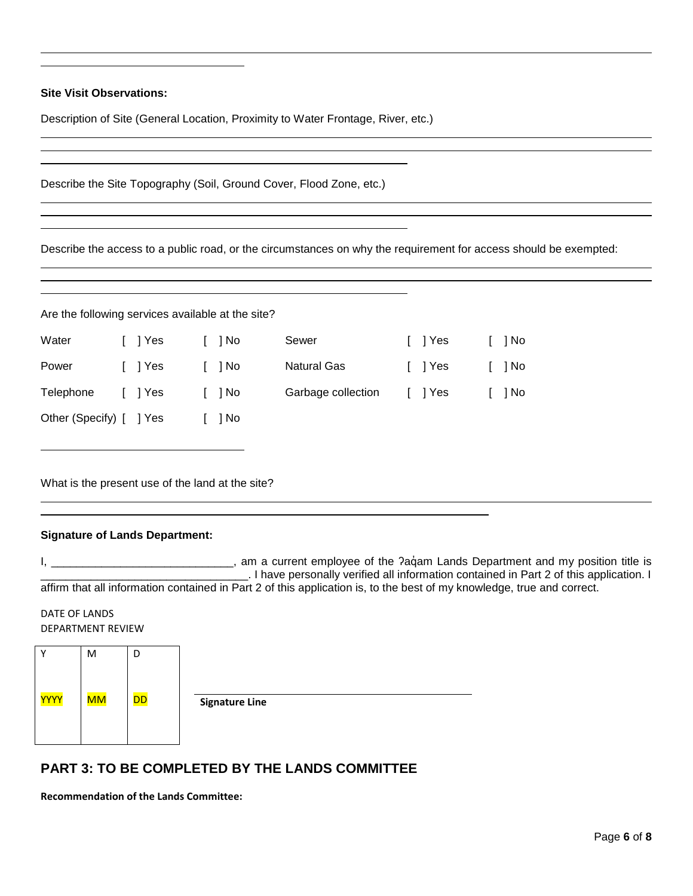**Site Visit Observations:**

Description of Site (General Location, Proximity to Water Frontage, River, etc.)

|  | Describe the Site Topography (Soil, Ground Cover, Flood Zone, etc.) |  |  |
|--|---------------------------------------------------------------------|--|--|
|--|---------------------------------------------------------------------|--|--|

Describe the access to a public road, or the circumstances on why the requirement for access should be exempted:

| Are the following services available at the site? |  |         |  |      |                    |  |        |  |      |  |  |
|---------------------------------------------------|--|---------|--|------|--------------------|--|--------|--|------|--|--|
| Water                                             |  | [ ] Yes |  | 1 No | Sewer              |  | Yes    |  | 1 No |  |  |
| Power                                             |  | I lYes  |  | 1 No | <b>Natural Gas</b> |  | 1 Yes  |  | 1 No |  |  |
| Telephone                                         |  | I lYes  |  | 1 No | Garbage collection |  | I lYes |  | 1 No |  |  |
| Other (Specify) [ ] Yes                           |  |         |  | 1 No |                    |  |        |  |      |  |  |

What is the present use of the land at the site?

### **Signature of Lands Department:**

I, \_\_\_\_\_\_\_\_\_\_\_\_\_\_\_\_\_\_\_\_\_\_\_\_\_\_\_\_, am a current employee of the ?aquam Lands Department and my position title is \_\_\_\_\_\_\_\_\_\_\_\_\_\_\_\_\_\_\_\_\_\_\_\_\_\_\_\_\_\_\_\_\_. I have personally verified all information contained in Part 2 of this application. I affirm that all information contained in Part 2 of this application is, to the best of my knowledge, true and correct.

DATE OF LANDS DEPARTMENT REVIEW



# **PART 3: TO BE COMPLETED BY THE LANDS COMMITTEE**

**Recommendation of the Lands Committee:**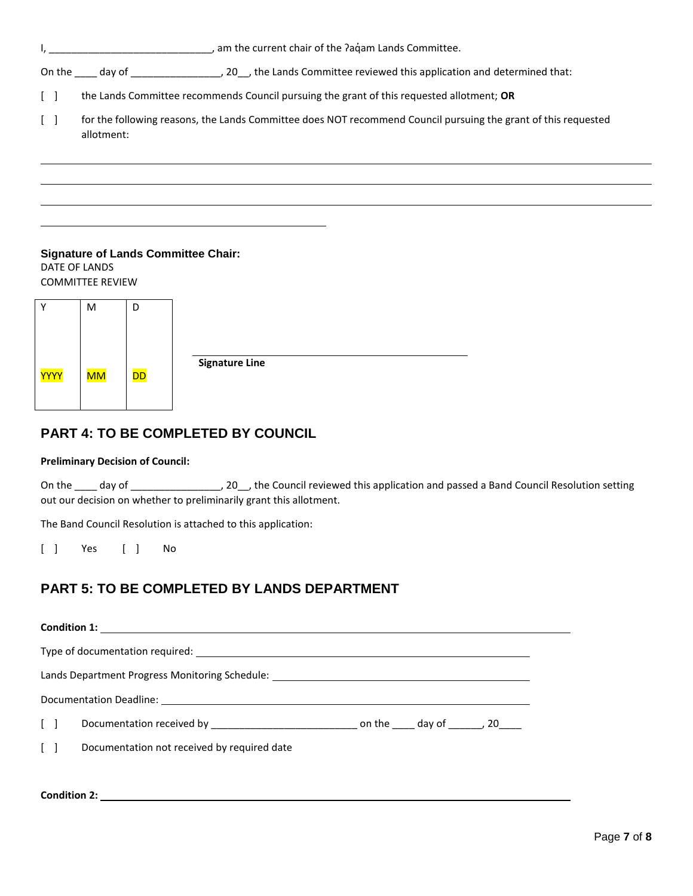|                                                                                        |                                                                                                                              | am the current chair of the Paqam Lands Committee.                                                                                                                                 |  |  |  |  |  |  |  |  |  |  |  |  |
|----------------------------------------------------------------------------------------|------------------------------------------------------------------------------------------------------------------------------|------------------------------------------------------------------------------------------------------------------------------------------------------------------------------------|--|--|--|--|--|--|--|--|--|--|--|--|
|                                                                                        |                                                                                                                              | On the day of day of day of day of day of day of day of day of day of day of day of day of day of day of day of the Lands Committee reviewed this application and determined that: |  |  |  |  |  |  |  |  |  |  |  |  |
| $\begin{bmatrix} \end{bmatrix}$                                                        |                                                                                                                              | the Lands Committee recommends Council pursuing the grant of this requested allotment; OR                                                                                          |  |  |  |  |  |  |  |  |  |  |  |  |
| $\Box$                                                                                 | for the following reasons, the Lands Committee does NOT recommend Council pursuing the grant of this requested<br>allotment: |                                                                                                                                                                                    |  |  |  |  |  |  |  |  |  |  |  |  |
|                                                                                        |                                                                                                                              |                                                                                                                                                                                    |  |  |  |  |  |  |  |  |  |  |  |  |
|                                                                                        |                                                                                                                              |                                                                                                                                                                                    |  |  |  |  |  |  |  |  |  |  |  |  |
|                                                                                        |                                                                                                                              |                                                                                                                                                                                    |  |  |  |  |  |  |  |  |  |  |  |  |
| <b>Signature of Lands Committee Chair:</b><br>DATE OF LANDS<br><b>COMMITTEE REVIEW</b> |                                                                                                                              |                                                                                                                                                                                    |  |  |  |  |  |  |  |  |  |  |  |  |
| Y                                                                                      | M                                                                                                                            | D                                                                                                                                                                                  |  |  |  |  |  |  |  |  |  |  |  |  |
|                                                                                        |                                                                                                                              |                                                                                                                                                                                    |  |  |  |  |  |  |  |  |  |  |  |  |
|                                                                                        |                                                                                                                              |                                                                                                                                                                                    |  |  |  |  |  |  |  |  |  |  |  |  |

**Signature Line**

# **PART 4: TO BE COMPLETED BY COUNCIL**

#### **Preliminary Decision of Council:**

DD

MM

YYYY

On the \_\_\_\_ day of \_\_\_\_\_\_\_\_\_\_\_\_\_\_\_\_\_\_\_, 20\_\_, the Council reviewed this application and passed a Band Council Resolution setting out our decision on whether to preliminarily grant this allotment.

The Band Council Resolution is attached to this application:

[ ] Yes [ ] No

# **PART 5: TO BE COMPLETED BY LANDS DEPARTMENT**

|            | Lands Department Progress Monitoring Schedule: _________________________________ |                                             |  |  |  |  |  |  |
|------------|----------------------------------------------------------------------------------|---------------------------------------------|--|--|--|--|--|--|
|            |                                                                                  |                                             |  |  |  |  |  |  |
|            |                                                                                  |                                             |  |  |  |  |  |  |
| $\lceil$ 1 |                                                                                  | Documentation not received by required date |  |  |  |  |  |  |

### **Condition 2:**